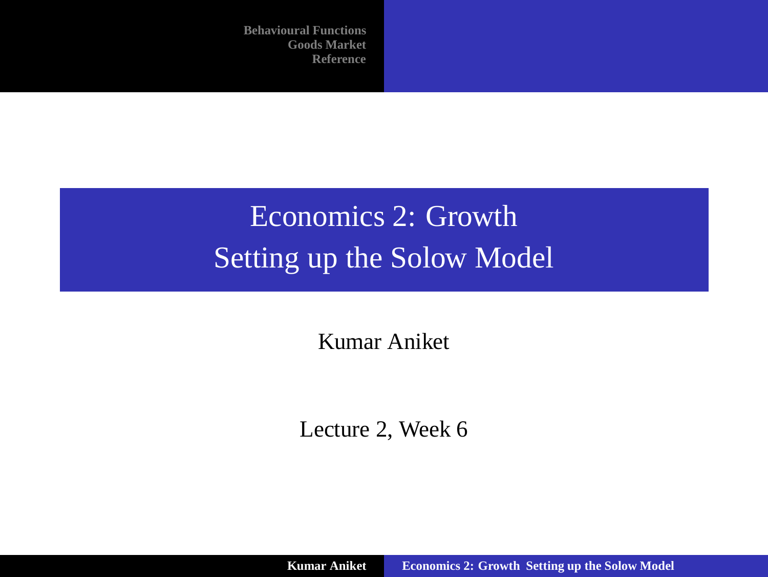# Economics 2: Growth Setting up the Solow Model

Kumar Aniket

<span id="page-0-0"></span>Lecture 2, Week 6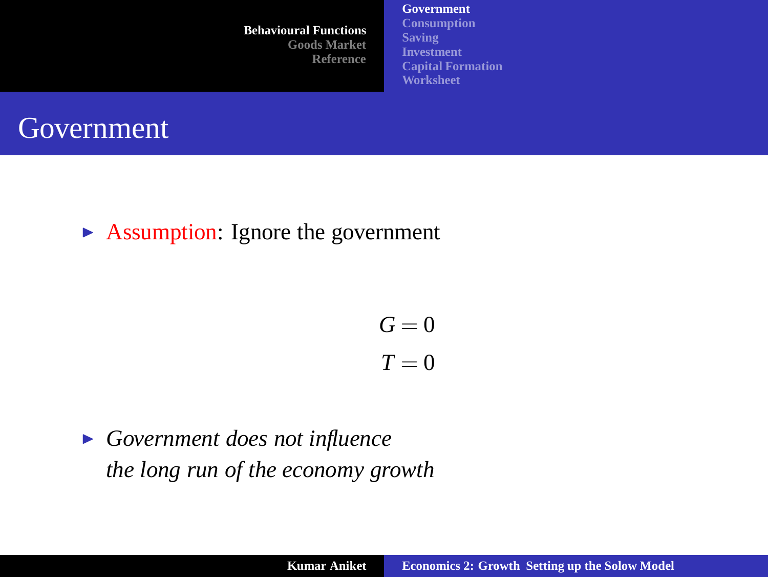**[Government](#page-1-0) [Consumption](#page-2-0) [Saving](#page-3-0) [Investment](#page-4-0) [Capital Formation](#page-7-0) [Worksheet](#page-8-0)**



 $\triangleright$  Assumption: Ignore the government

<span id="page-1-0"></span> $G = 0$  $T = 0$ 

I *Government does not influence the long run of the economy growth*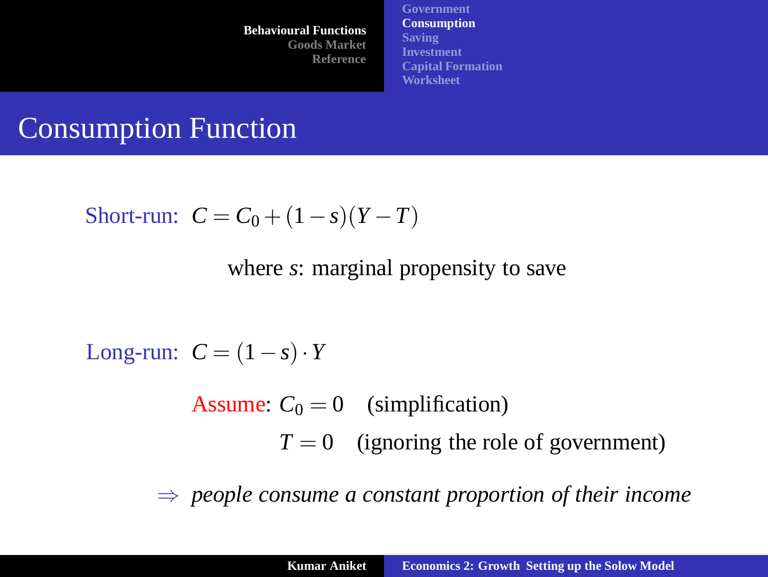**[Government](#page-1-0) [Consumption](#page-2-0) [Saving](#page-3-0) [Investment](#page-4-0) [Capital Formation](#page-7-0) [Worksheet](#page-8-0)**

# Consumption Function

$$
Short-run: C = C_0 + (1 - s)(Y - T)
$$

where *s*: marginal propensity to save

Long-run: 
$$
C = (1 - s) \cdot Y
$$

Assume:  $C_0 = 0$  (simplification)  $T = 0$  (ignoring the role of government)

<span id="page-2-0"></span>⇒ *people consume a constant proportion of their income*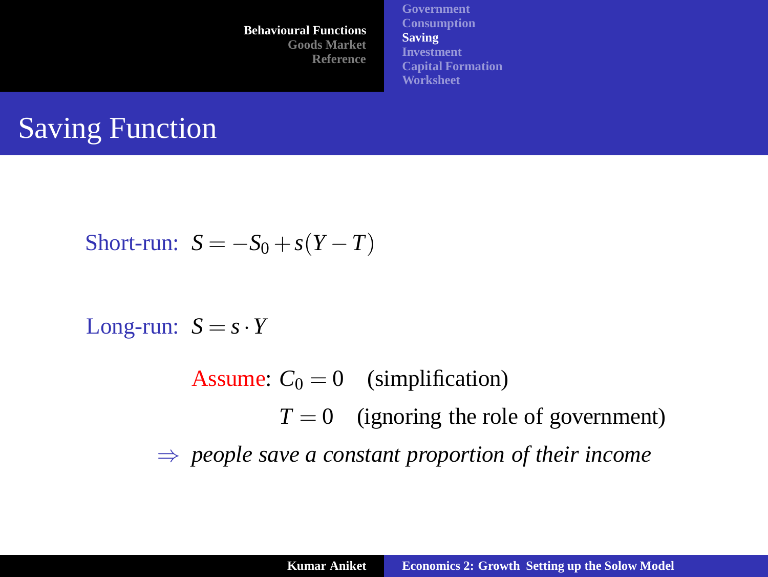**[Government](#page-1-0) [Consumption](#page-2-0) [Saving](#page-3-0) [Investment](#page-4-0) [Capital Formation](#page-7-0) [Worksheet](#page-8-0)**

# Saving Function

$$
Short-run: S = -S_0 + s(Y - T)
$$

Long-run:  $S = s \cdot Y$ 

<span id="page-3-0"></span>Assume:  $C_0 = 0$  (simplification)  $T = 0$  (ignoring the role of government) ⇒ *people save a constant proportion of their income*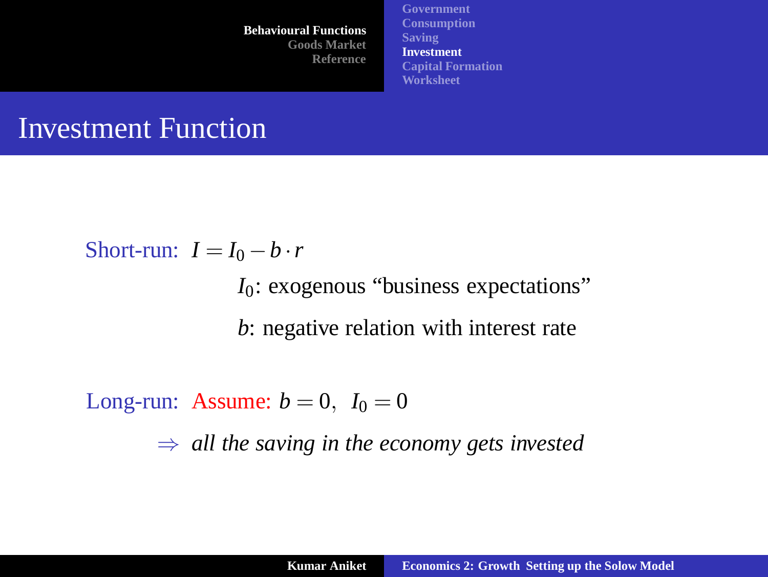**[Government](#page-1-0) [Consumption](#page-2-0) [Saving](#page-3-0) [Investment](#page-4-0) [Capital Formation](#page-7-0) [Worksheet](#page-8-0)**

#### Investment Function

Short-run:  $I = I_0 - b \cdot r$ 

*I*<sub>0</sub>: exogenous "business expectations" *b*: negative relation with interest rate

Long-run: Assume:  $b = 0$ ,  $I_0 = 0$ 

<span id="page-4-0"></span>⇒ *all the saving in the economy gets invested*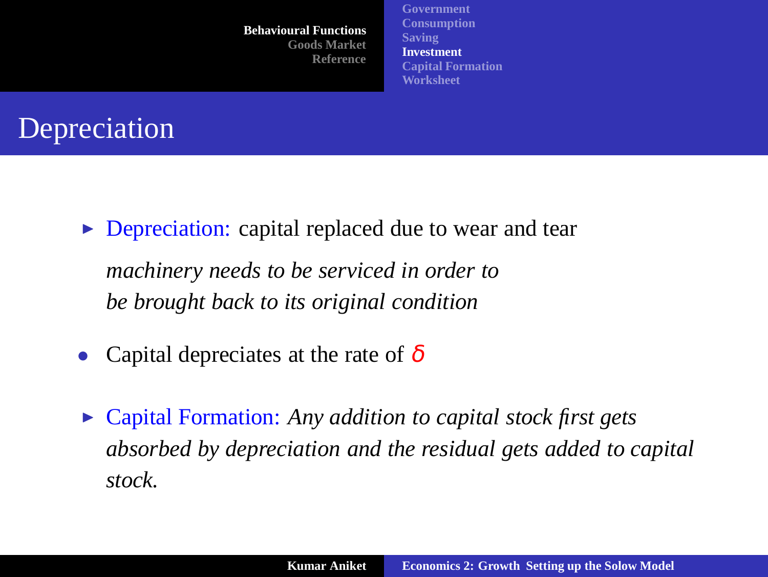**[Government](#page-1-0) [Consumption](#page-2-0) [Saving](#page-3-0) [Investment](#page-4-0) [Capital Formation](#page-7-0) [Worksheet](#page-8-0)**

# Depreciation

- $\triangleright$  Depreciation: capital replaced due to wear and tear *machinery needs to be serviced in order to be brought back to its original condition*
- Capital depreciates at the rate of  $\delta$
- ► Capital Formation: *Any addition to capital stock first gets absorbed by depreciation and the residual gets added to capital stock.*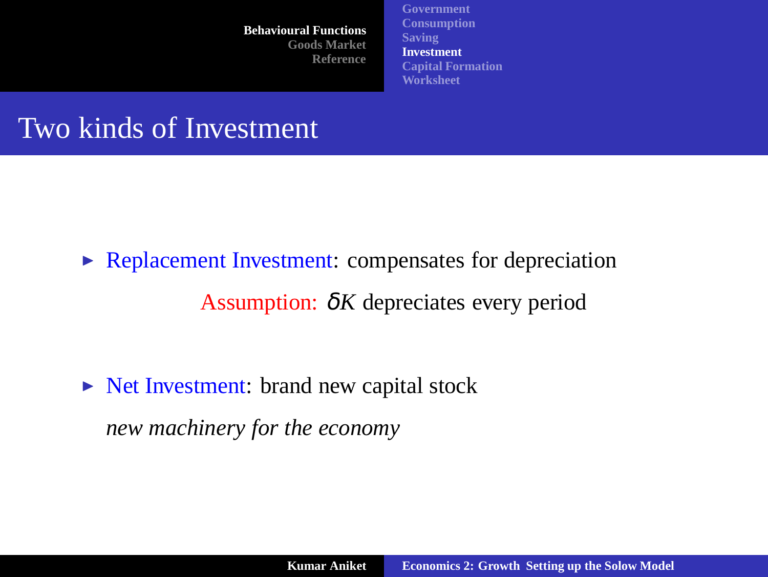**[Government](#page-1-0) [Consumption](#page-2-0) [Saving](#page-3-0) [Investment](#page-4-0) [Capital Formation](#page-7-0) [Worksheet](#page-8-0)**

#### Two kinds of Investment

 $\triangleright$  Replacement Investment: compensates for depreciation Assumption: δ*K* depreciates every period

 $\triangleright$  Net Investment: brand new capital stock

*new machinery for the economy*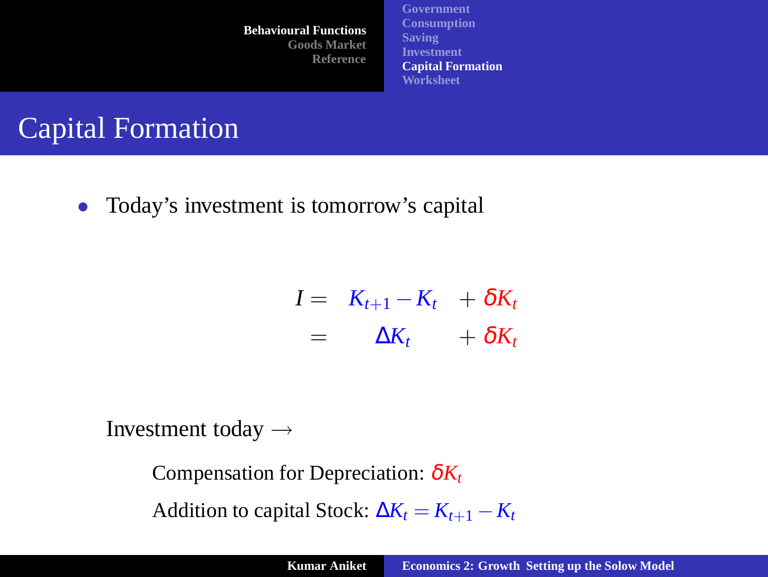**[Government](#page-1-0) [Consumption](#page-2-0) [Saving](#page-3-0) [Investment](#page-4-0) [Capital Formation](#page-7-0) [Worksheet](#page-8-0)**

# Capital Formation

• Today's investment is tomorrow's capital

<span id="page-7-0"></span>
$$
I = K_{t+1} - K_t + \delta K_t
$$
  
=  $\Delta K_t + \delta K_t$ 

Investment today  $\rightarrow$ 

Compensation for Depreciation: <sup>δ</sup>*K<sup>t</sup>* Addition to capital Stock:  $\Delta K_t = K_{t+1} - K_t$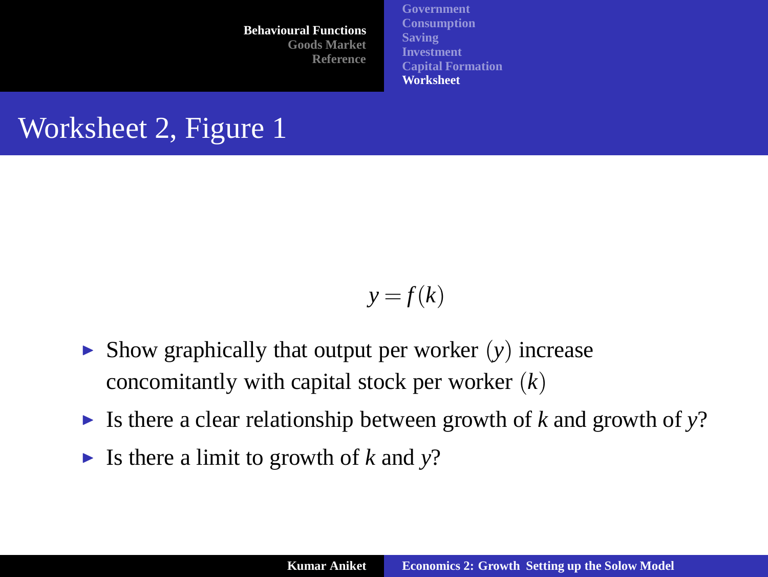**[Government](#page-1-0) [Consumption](#page-2-0) [Saving](#page-3-0) [Investment](#page-4-0) [Capital Formation](#page-7-0) [Worksheet](#page-8-0)**

# Worksheet 2, Figure 1

<span id="page-8-0"></span>
$$
y = f(k)
$$

- $\triangleright$  Show graphically that output per worker  $(y)$  increase concomitantly with capital stock per worker (*k*)
- If Is there a clear relationship between growth of  $k$  and growth of  $y$ ?
- Is there a limit to growth of  $k$  and  $y$ ?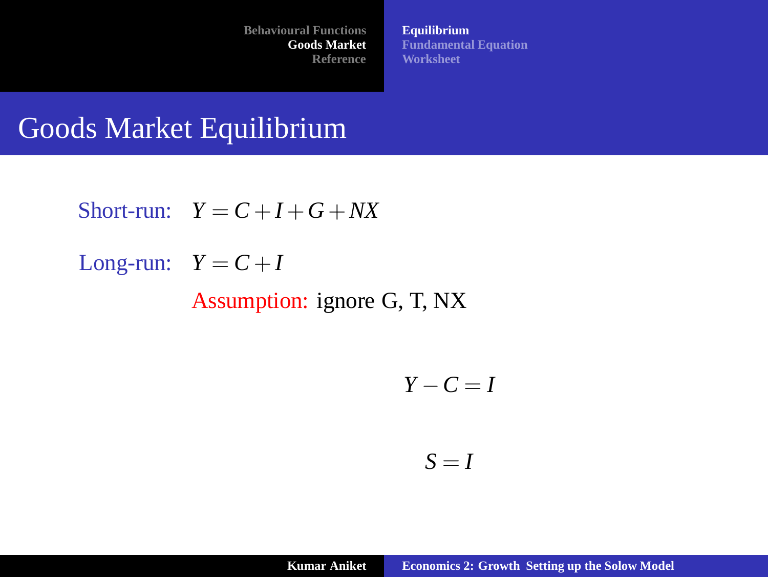**[Equilibrium](#page-9-0) [Fundamental Equation](#page-10-0) [Worksheet](#page-11-0)**

### Goods Market Equilibrium

Short-run:  $Y = C + I + G + NX$ Long-run:  $Y = C + I$ Assumption: ignore G, T, NX

$$
Y-C=I
$$

<span id="page-9-0"></span>
$$
S = I
$$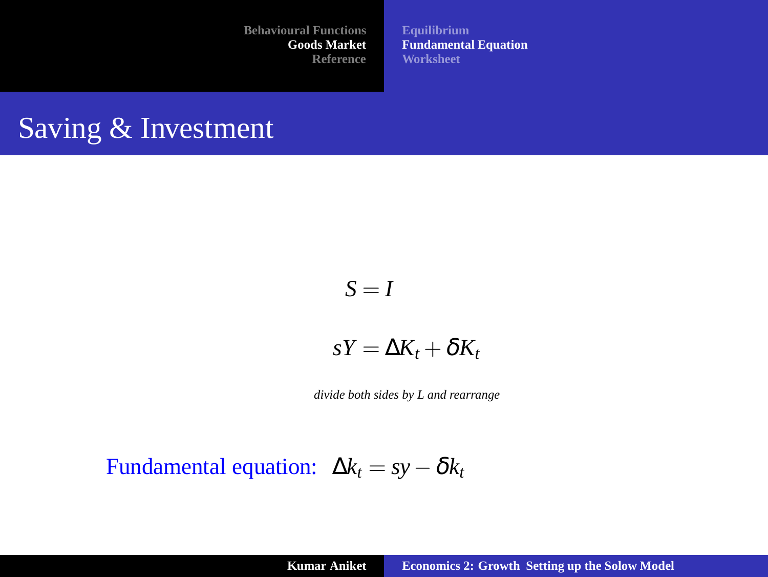**[Equilibrium](#page-9-0) [Fundamental Equation](#page-10-0) [Worksheet](#page-11-0)**

#### Saving & Investment

$$
S = I
$$

$$
sY = \Delta K_t + \delta K_t
$$

<span id="page-10-0"></span>*divide both sides by L and rearrange*

#### Fundamental equation:  $\Delta k_t = sy - \delta k_t$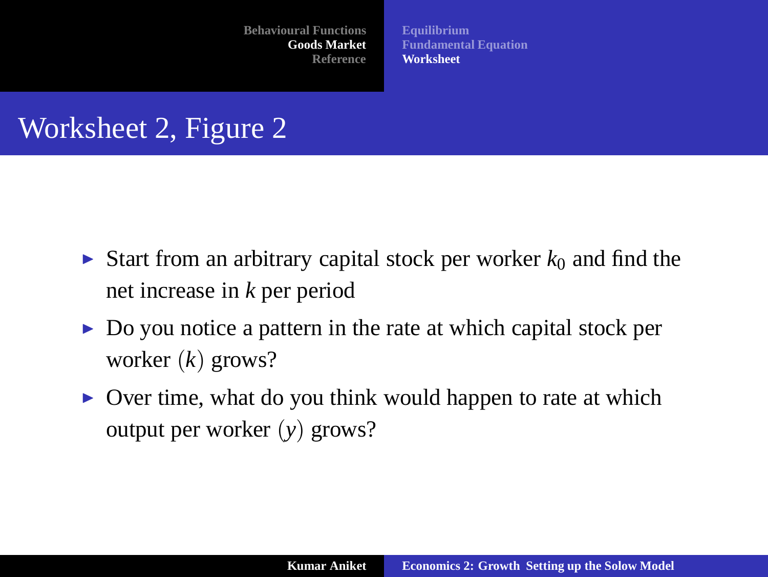**[Equilibrium](#page-9-0) [Fundamental Equation](#page-10-0) [Worksheet](#page-11-0)**

# Worksheet 2, Figure 2

- In Start from an arbitrary capital stock per worker  $k_0$  and find the net increase in *k* per period
- $\triangleright$  Do you notice a pattern in the rate at which capital stock per worker (*k*) grows?
- <span id="page-11-0"></span> $\triangleright$  Over time, what do you think would happen to rate at which output per worker (*y*) grows?